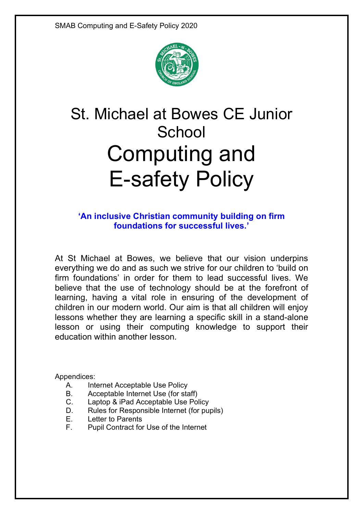

# St. Michael at Bowes CE Junior **School** Computing and E-safety Policy

## **'An inclusive Christian community building on firm foundations for successful lives.'**

At St Michael at Bowes, we believe that our vision underpins everything we do and as such we strive for our children to 'build on firm foundations' in order for them to lead successful lives. We believe that the use of technology should be at the forefront of learning, having a vital role in ensuring of the development of children in our modern world. Our aim is that all children will enjoy lessons whether they are learning a specific skill in a stand-alone lesson or using their computing knowledge to support their education within another lesson.

Appendices:

- A. Internet Acceptable Use Policy
- B. Acceptable Internet Use (for staff)
- C. Laptop & iPad Acceptable Use Policy
- D. Rules for Responsible Internet (for pupils)
- E. Letter to Parents
- F. Pupil Contract for Use of the Internet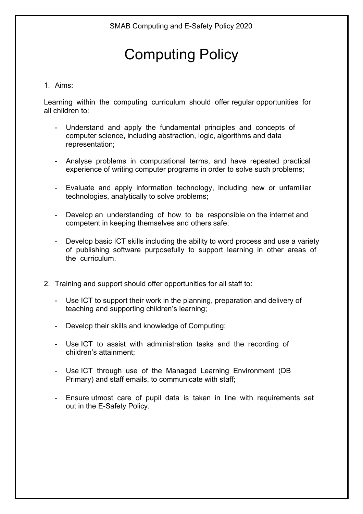# Computing Policy

## 1. Aims:

Learning within the computing curriculum should offer regular opportunities for all children to:

- Understand and apply the fundamental principles and concepts of computer science, including abstraction, logic, algorithms and data representation;
- Analyse problems in computational terms, and have repeated practical experience of writing computer programs in order to solve such problems;
- Evaluate and apply information technology, including new or unfamiliar technologies, analytically to solve problems;
- Develop an understanding of how to be responsible on the internet and competent in keeping themselves and others safe;
- Develop basic ICT skills including the ability to word process and use a variety of publishing software purposefully to support learning in other areas of the curriculum.
- 2. Training and support should offer opportunities for all staff to:
	- Use ICT to support their work in the planning, preparation and delivery of teaching and supporting children's learning;
	- Develop their skills and knowledge of Computing;
	- Use ICT to assist with administration tasks and the recording of children's attainment;
	- Use ICT through use of the Managed Learning Environment (DB Primary) and staff emails, to communicate with staff;
	- Ensure utmost care of pupil data is taken in line with requirements set out in the E-Safety Policy.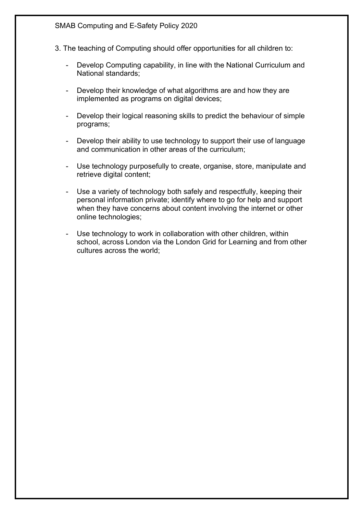SMAB Computing and E-Safety Policy 2020

- 3. The teaching of Computing should offer opportunities for all children to:
	- Develop Computing capability, in line with the National Curriculum and National standards;
	- Develop their knowledge of what algorithms are and how they are implemented as programs on digital devices;
	- Develop their logical reasoning skills to predict the behaviour of simple programs;
	- Develop their ability to use technology to support their use of language and communication in other areas of the curriculum;
	- Use technology purposefully to create, organise, store, manipulate and retrieve digital content;
	- Use a variety of technology both safely and respectfully, keeping their personal information private; identify where to go for help and support when they have concerns about content involving the internet or other online technologies;
	- Use technology to work in collaboration with other children, within school, across London via the London Grid for Learning and from other cultures across the world;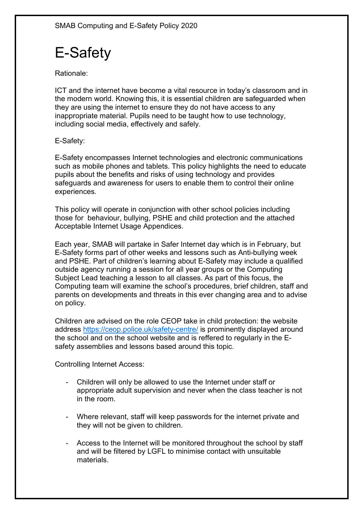# E-Safety

Rationale:

ICT and the internet have become a vital resource in today's classroom and in the modern world. Knowing this, it is essential children are safeguarded when they are using the internet to ensure they do not have access to any inappropriate material. Pupils need to be taught how to use technology, including social media, effectively and safely.

E-Safety:

E-Safety encompasses Internet technologies and electronic communications such as mobile phones and tablets. This policy highlights the need to educate pupils about the benefits and risks of using technology and provides safeguards and awareness for users to enable them to control their online experiences.

This policy will operate in conjunction with other school policies including those for behaviour, bullying, PSHE and child protection and the attached Acceptable Internet Usage Appendices.

Each year, SMAB will partake in Safer Internet day which is in February, but E-Safety forms part of other weeks and lessons such as Anti-bullying week and PSHE. Part of children's learning about E-Safety may include a qualified outside agency running a session for all year groups or the Computing Subject Lead teaching a lesson to all classes. As part of this focus, the Computing team will examine the school's procedures, brief children, staff and parents on developments and threats in this ever changing area and to advise on policy.

Children are advised on the role CEOP take in child protection: the website address https://ceop.police.uk/safety-centre/ is prominently displayed around the school and on the school website and is reffered to regularly in the Esafety assemblies and lessons based around this topic.

Controlling Internet Access:

- Children will only be allowed to use the Internet under staff or appropriate adult supervision and never when the class teacher is not in the room.
- Where relevant, staff will keep passwords for the internet private and they will not be given to children.
- Access to the Internet will be monitored throughout the school by staff and will be filtered by LGFL to minimise contact with unsuitable materials.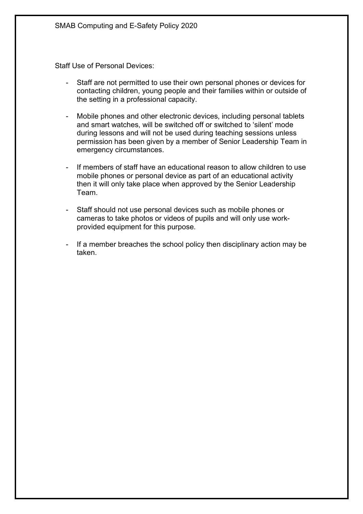Staff Use of Personal Devices:

- Staff are not permitted to use their own personal phones or devices for contacting children, young people and their families within or outside of the setting in a professional capacity.
- Mobile phones and other electronic devices, including personal tablets and smart watches, will be switched off or switched to 'silent' mode during lessons and will not be used during teaching sessions unless permission has been given by a member of Senior Leadership Team in emergency circumstances.
- If members of staff have an educational reason to allow children to use mobile phones or personal device as part of an educational activity then it will only take place when approved by the Senior Leadership Team.
- Staff should not use personal devices such as mobile phones or cameras to take photos or videos of pupils and will only use workprovided equipment for this purpose.
- If a member breaches the school policy then disciplinary action may be taken.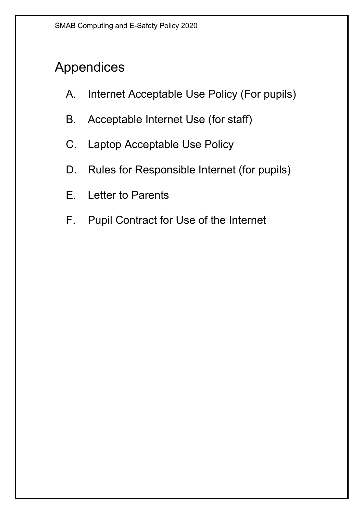# Appendices

- A. Internet Acceptable Use Policy (For pupils)
- B. Acceptable Internet Use (for staff)
- C. Laptop Acceptable Use Policy
- D. Rules for Responsible Internet (for pupils)
- E. Letter to Parents
- F. Pupil Contract for Use of the Internet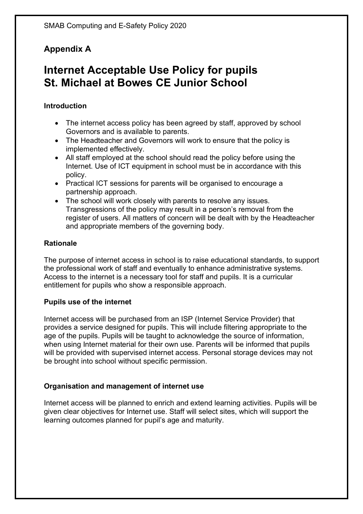## **Appendix A**

# **Internet Acceptable Use Policy for pupils St. Michael at Bowes CE Junior School**

## **Introduction**

- The internet access policy has been agreed by staff, approved by school Governors and is available to parents.
- The Headteacher and Governors will work to ensure that the policy is implemented effectively.
- All staff employed at the school should read the policy before using the Internet. Use of ICT equipment in school must be in accordance with this policy.
- Practical ICT sessions for parents will be organised to encourage a partnership approach.
- The school will work closely with parents to resolve any issues. Transgressions of the policy may result in a person's removal from the register of users. All matters of concern will be dealt with by the Headteacher and appropriate members of the governing body.

## **Rationale**

The purpose of internet access in school is to raise educational standards, to support the professional work of staff and eventually to enhance administrative systems. Access to the internet is a necessary tool for staff and pupils. It is a curricular entitlement for pupils who show a responsible approach.

## **Pupils use of the internet**

Internet access will be purchased from an ISP (Internet Service Provider) that provides a service designed for pupils. This will include filtering appropriate to the age of the pupils. Pupils will be taught to acknowledge the source of information, when using Internet material for their own use. Parents will be informed that pupils will be provided with supervised internet access. Personal storage devices may not be brought into school without specific permission.

## **Organisation and management of internet use**

Internet access will be planned to enrich and extend learning activities. Pupils will be given clear objectives for Internet use. Staff will select sites, which will support the learning outcomes planned for pupil's age and maturity.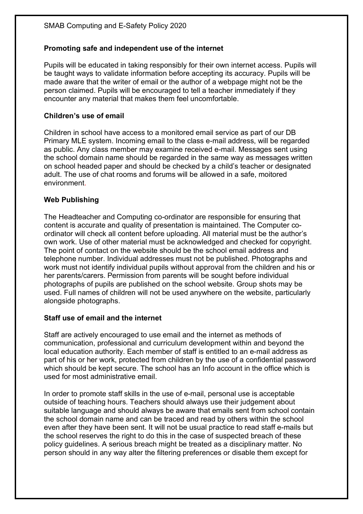## **Promoting safe and independent use of the internet**

Pupils will be educated in taking responsibly for their own internet access. Pupils will be taught ways to validate information before accepting its accuracy. Pupils will be made aware that the writer of email or the author of a webpage might not be the person claimed. Pupils will be encouraged to tell a teacher immediately if they encounter any material that makes them feel uncomfortable.

#### **Children's use of email**

Children in school have access to a monitored email service as part of our DB Primary MLE system. Incoming email to the class e-mail address, will be regarded as public. Any class member may examine received e-mail. Messages sent using the school domain name should be regarded in the same way as messages written on school headed paper and should be checked by a child's teacher or designated adult. The use of chat rooms and forums will be allowed in a safe, moitored environment.

### **Web Publishing**

The Headteacher and Computing co-ordinator are responsible for ensuring that content is accurate and quality of presentation is maintained. The Computer coordinator will check all content before uploading. All material must be the author's own work. Use of other material must be acknowledged and checked for copyright. The point of contact on the website should be the school email address and telephone number. Individual addresses must not be published. Photographs and work must not identify individual pupils without approval from the children and his or her parents/carers. Permission from parents will be sought before individual photographs of pupils are published on the school website. Group shots may be used. Full names of children will not be used anywhere on the website, particularly alongside photographs.

## **Staff use of email and the internet**

Staff are actively encouraged to use email and the internet as methods of communication, professional and curriculum development within and beyond the local education authority. Each member of staff is entitled to an e-mail address as part of his or her work, protected from children by the use of a confidential password which should be kept secure. The school has an Info account in the office which is used for most administrative email.

In order to promote staff skills in the use of e-mail, personal use is acceptable outside of teaching hours. Teachers should always use their judgement about suitable language and should always be aware that emails sent from school contain the school domain name and can be traced and read by others within the school even after they have been sent. It will not be usual practice to read staff e-mails but the school reserves the right to do this in the case of suspected breach of these policy guidelines. A serious breach might be treated as a disciplinary matter. No person should in any way alter the filtering preferences or disable them except for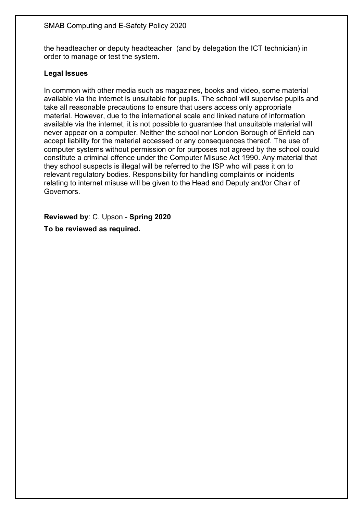the headteacher or deputy headteacher (and by delegation the ICT technician) in order to manage or test the system.

#### **Legal Issues**

In common with other media such as magazines, books and video, some material available via the internet is unsuitable for pupils. The school will supervise pupils and take all reasonable precautions to ensure that users access only appropriate material. However, due to the international scale and linked nature of information available via the internet, it is not possible to guarantee that unsuitable material will never appear on a computer. Neither the school nor London Borough of Enfield can accept liability for the material accessed or any consequences thereof. The use of computer systems without permission or for purposes not agreed by the school could constitute a criminal offence under the Computer Misuse Act 1990. Any material that they school suspects is illegal will be referred to the ISP who will pass it on to relevant regulatory bodies. Responsibility for handling complaints or incidents relating to internet misuse will be given to the Head and Deputy and/or Chair of Governors.

**Reviewed by**: C. Upson - **Spring 2020 To be reviewed as required.**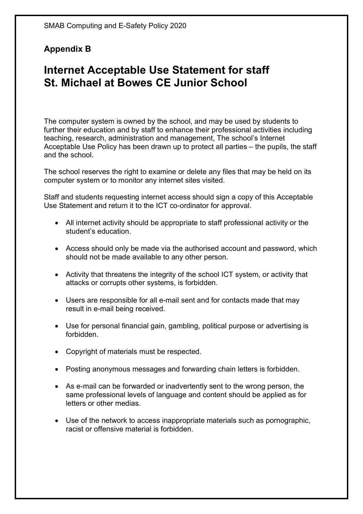## **Appendix B**

# **Internet Acceptable Use Statement for staff St. Michael at Bowes CE Junior School**

The computer system is owned by the school, and may be used by students to further their education and by staff to enhance their professional activities including teaching, research, administration and management, The school's Internet Acceptable Use Policy has been drawn up to protect all parties – the pupils, the staff and the school.

The school reserves the right to examine or delete any files that may be held on its computer system or to monitor any internet sites visited.

Staff and students requesting internet access should sign a copy of this Acceptable Use Statement and return it to the ICT co-ordinator for approval.

- All internet activity should be appropriate to staff professional activity or the student's education.
- Access should only be made via the authorised account and password, which should not be made available to any other person.
- Activity that threatens the integrity of the school ICT system, or activity that attacks or corrupts other systems, is forbidden.
- Users are responsible for all e-mail sent and for contacts made that may result in e-mail being received.
- Use for personal financial gain, gambling, political purpose or advertising is forbidden.
- Copyright of materials must be respected.
- Posting anonymous messages and forwarding chain letters is forbidden.
- As e-mail can be forwarded or inadvertently sent to the wrong person, the same professional levels of language and content should be applied as for letters or other medias.
- Use of the network to access inappropriate materials such as pornographic, racist or offensive material is forbidden.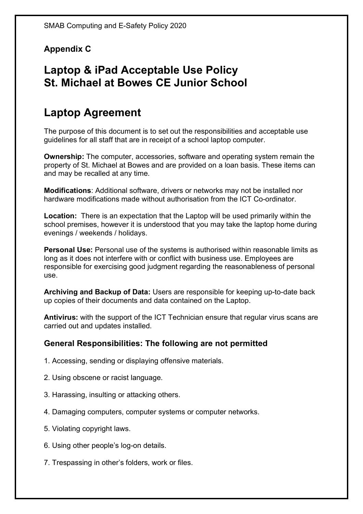## **Appendix C**

# **Laptop & iPad Acceptable Use Policy St. Michael at Bowes CE Junior School**

# **Laptop Agreement**

The purpose of this document is to set out the responsibilities and acceptable use guidelines for all staff that are in receipt of a school laptop computer.

**Ownership:** The computer, accessories, software and operating system remain the property of St. Michael at Bowes and are provided on a loan basis. These items can and may be recalled at any time.

**Modifications**: Additional software, drivers or networks may not be installed nor hardware modifications made without authorisation from the ICT Co-ordinator.

**Location:** There is an expectation that the Laptop will be used primarily within the school premises, however it is understood that you may take the laptop home during evenings / weekends / holidays.

**Personal Use:** Personal use of the systems is authorised within reasonable limits as long as it does not interfere with or conflict with business use. Employees are responsible for exercising good judgment regarding the reasonableness of personal use.

**Archiving and Backup of Data:** Users are responsible for keeping up-to-date back up copies of their documents and data contained on the Laptop.

**Antivirus:** with the support of the ICT Technician ensure that regular virus scans are carried out and updates installed.

## **General Responsibilities: The following are not permitted**

- 1. Accessing, sending or displaying offensive materials.
- 2. Using obscene or racist language.
- 3. Harassing, insulting or attacking others.
- 4. Damaging computers, computer systems or computer networks.
- 5. Violating copyright laws.
- 6. Using other people's log-on details.
- 7. Trespassing in other's folders, work or files.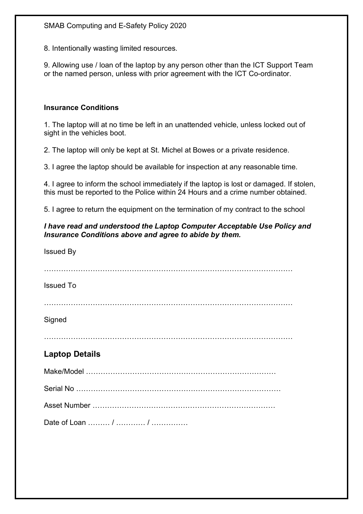8. Intentionally wasting limited resources.

9. Allowing use / loan of the laptop by any person other than the ICT Support Team or the named person, unless with prior agreement with the ICT Co-ordinator.

#### **Insurance Conditions**

1. The laptop will at no time be left in an unattended vehicle, unless locked out of sight in the vehicles boot.

2. The laptop will only be kept at St. Michel at Bowes or a private residence.

3. I agree the laptop should be available for inspection at any reasonable time.

4. I agree to inform the school immediately if the laptop is lost or damaged. If stolen, this must be reported to the Police within 24 Hours and a crime number obtained.

5. I agree to return the equipment on the termination of my contract to the school

#### *I have read and understood the Laptop Computer Acceptable Use Policy and Insurance Conditions above and agree to abide by them.*

| <b>Issued By</b>      |
|-----------------------|
| <b>Issued To</b>      |
| Signed                |
|                       |
| <b>Laptop Details</b> |
|                       |
|                       |
|                       |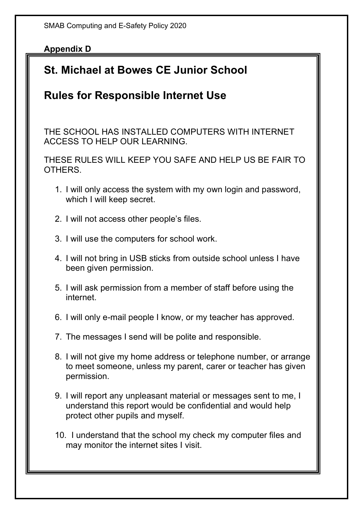SMAB Computing and E-Safety Policy 2020

## **Appendix D**

# **St. Michael at Bowes CE Junior School**

# **Rules for Responsible Internet Use**

THE SCHOOL HAS INSTALLED COMPUTERS WITH INTERNET ACCESS TO HELP OUR LEARNING.

THESE RULES WILL KEEP YOU SAFE AND HELP US BE FAIR TO **OTHERS** 

- 1. I will only access the system with my own login and password, which I will keep secret.
- 2. I will not access other people's files.
- 3. I will use the computers for school work.
- 4. I will not bring in USB sticks from outside school unless I have been given permission.
- 5. I will ask permission from a member of staff before using the internet.
- 6. I will only e-mail people I know, or my teacher has approved.
- 7. The messages I send will be polite and responsible.
- 8. I will not give my home address or telephone number, or arrange to meet someone, unless my parent, carer or teacher has given permission.
- 9. I will report any unpleasant material or messages sent to me, I understand this report would be confidential and would help protect other pupils and myself.
- 10. I understand that the school my check my computer files and may monitor the internet sites I visit.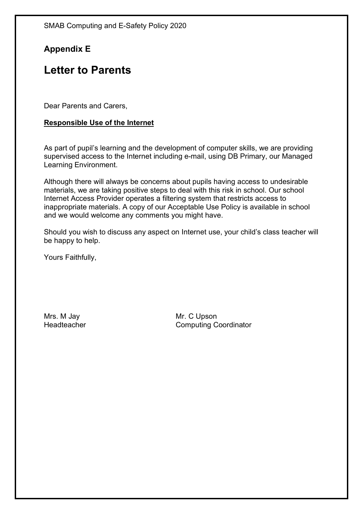## **Appendix E**

## **Letter to Parents**

Dear Parents and Carers,

### **Responsible Use of the Internet**

As part of pupil's learning and the development of computer skills, we are providing supervised access to the Internet including e-mail, using DB Primary, our Managed Learning Environment.

Although there will always be concerns about pupils having access to undesirable materials, we are taking positive steps to deal with this risk in school. Our school Internet Access Provider operates a filtering system that restricts access to inappropriate materials. A copy of our Acceptable Use Policy is available in school and we would welcome any comments you might have.

Should you wish to discuss any aspect on Internet use, your child's class teacher will be happy to help.

Yours Faithfully,

Mrs. M Jay Mr. C Upson

Headteacher Computing Coordinator